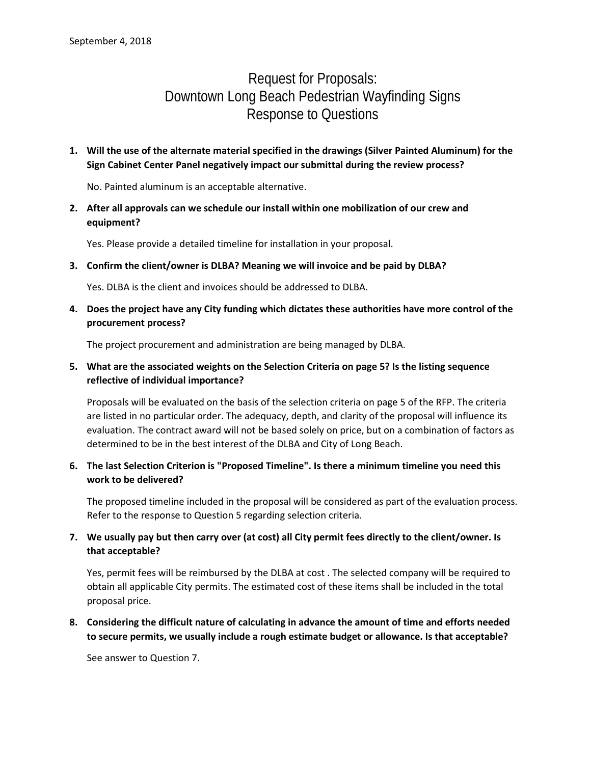# Request for Proposals: Downtown Long Beach Pedestrian Wayfinding Signs Response to Questions

**1. Will the use of the alternate material specified in the drawings (Silver Painted Aluminum) for the Sign Cabinet Center Panel negatively impact our submittal during the review process?** 

No. Painted aluminum is an acceptable alternative.

**2. After all approvals can we schedule our install within one mobilization of our crew and equipment?**

Yes. Please provide a detailed timeline for installation in your proposal.

**3. Confirm the client/owner is DLBA? Meaning we will invoice and be paid by DLBA?**

Yes. DLBA is the client and invoices should be addressed to DLBA.

**4. Does the project have any City funding which dictates these authorities have more control of the procurement process?**

The project procurement and administration are being managed by DLBA.

# **5. What are the associated weights on the Selection Criteria on page 5? Is the listing sequence reflective of individual importance?**

Proposals will be evaluated on the basis of the selection criteria on page 5 of the RFP. The criteria are listed in no particular order. The adequacy, depth, and clarity of the proposal will influence its evaluation. The contract award will not be based solely on price, but on a combination of factors as determined to be in the best interest of the DLBA and City of Long Beach.

## **6. The last Selection Criterion is "Proposed Timeline". Is there a minimum timeline you need this work to be delivered?**

The proposed timeline included in the proposal will be considered as part of the evaluation process. Refer to the response to Question 5 regarding selection criteria.

# **7. We usually pay but then carry over (at cost) all City permit fees directly to the client/owner. Is that acceptable?**

Yes, permit fees will be reimbursed by the DLBA at cost . The selected company will be required to obtain all applicable City permits. The estimated cost of these items shall be included in the total proposal price.

**8. Considering the difficult nature of calculating in advance the amount of time and efforts needed to secure permits, we usually include a rough estimate budget or allowance. Is that acceptable?** 

See answer to Question 7.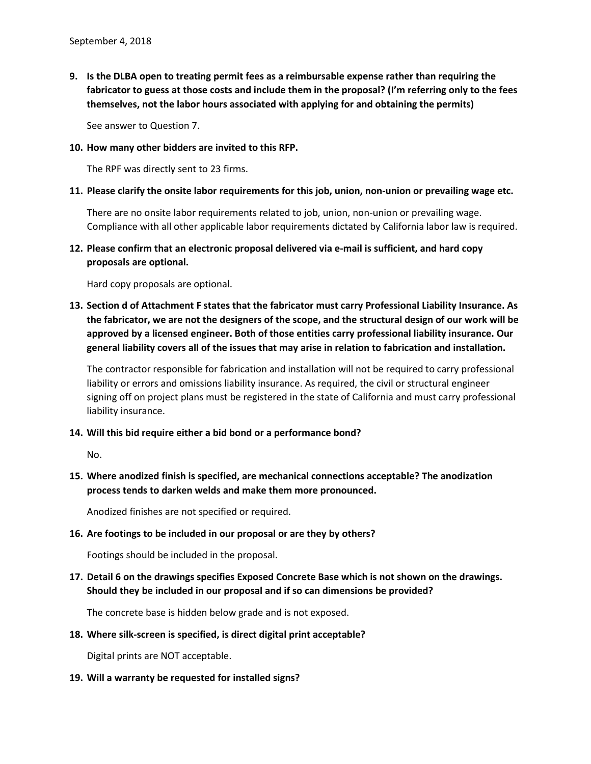**9. Is the DLBA open to treating permit fees as a reimbursable expense rather than requiring the fabricator to guess at those costs and include them in the proposal? (I'm referring only to the fees themselves, not the labor hours associated with applying for and obtaining the permits)**

See answer to Question 7.

#### **10. How many other bidders are invited to this RFP.**

The RPF was directly sent to 23 firms.

#### **11. Please clarify the onsite labor requirements for this job, union, non-union or prevailing wage etc.**

There are no onsite labor requirements related to job, union, non-union or prevailing wage. Compliance with all other applicable labor requirements dictated by California labor law is required.

**12. Please confirm that an electronic proposal delivered via e-mail is sufficient, and hard copy proposals are optional.**

Hard copy proposals are optional.

**13. Section d of Attachment F states that the fabricator must carry Professional Liability Insurance. As the fabricator, we are not the designers of the scope, and the structural design of our work will be approved by a licensed engineer. Both of those entities carry professional liability insurance. Our general liability covers all of the issues that may arise in relation to fabrication and installation.**

The contractor responsible for fabrication and installation will not be required to carry professional liability or errors and omissions liability insurance. As required, the civil or structural engineer signing off on project plans must be registered in the state of California and must carry professional liability insurance.

#### **14. Will this bid require either a bid bond or a performance bond?**

No.

**15. Where anodized finish is specified, are mechanical connections acceptable? The anodization process tends to darken welds and make them more pronounced.**

Anodized finishes are not specified or required.

#### **16. Are footings to be included in our proposal or are they by others?**

Footings should be included in the proposal.

**17. Detail 6 on the drawings specifies Exposed Concrete Base which is not shown on the drawings. Should they be included in our proposal and if so can dimensions be provided?**

The concrete base is hidden below grade and is not exposed.

#### **18. Where silk-screen is specified, is direct digital print acceptable?**

Digital prints are NOT acceptable.

#### **19. Will a warranty be requested for installed signs?**